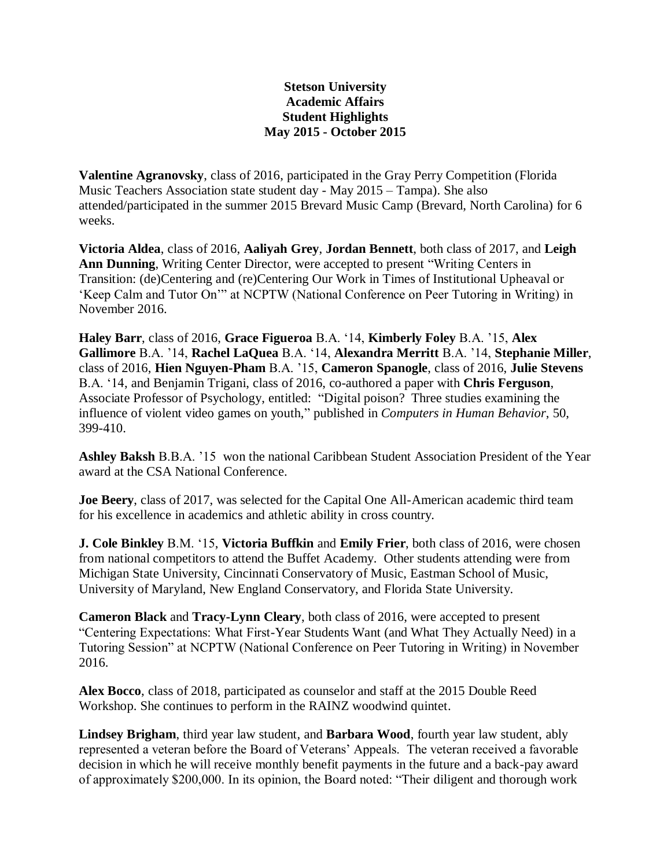## **Stetson University Academic Affairs Student Highlights May 2015 - October 2015**

**Valentine Agranovsky**, class of 2016, participated in the Gray Perry Competition (Florida Music Teachers Association state student day - May 2015 – Tampa). She also attended/participated in the summer 2015 Brevard Music Camp (Brevard, North Carolina) for 6 weeks.

**Victoria Aldea**, class of 2016, **Aaliyah Grey**, **Jordan Bennett**, both class of 2017, and **Leigh Ann Dunning**, Writing Center Director, were accepted to present "Writing Centers in Transition: (de)Centering and (re)Centering Our Work in Times of Institutional Upheaval or 'Keep Calm and Tutor On'" at NCPTW (National Conference on Peer Tutoring in Writing) in November 2016.

**Haley Barr**, class of 2016, **Grace Figueroa** B.A. '14, **Kimberly Foley** B.A. '15, **Alex Gallimore** B.A. '14, **Rachel LaQuea** B.A. '14, **Alexandra Merritt** B.A. '14, **Stephanie Miller**, class of 2016, **Hien Nguyen-Pham** B.A. '15, **Cameron Spanogle**, class of 2016, **Julie Stevens** B.A. '14, and Benjamin Trigani, class of 2016, co-authored a paper with **Chris Ferguson**, Associate Professor of Psychology, entitled: "Digital poison? Three studies examining the influence of violent video games on youth," published in *Computers in Human Behavior*, 50, 399-410.

**Ashley Baksh** B.B.A. '15 won the national Caribbean Student Association President of the Year award at the CSA National Conference.

**Joe Beery**, class of 2017, was selected for the Capital One All-American academic third team for his excellence in academics and athletic ability in cross country.

**J. Cole Binkley** B.M. '15, **Victoria Buffkin** and **Emily Frier**, both class of 2016, were chosen from national competitors to attend the Buffet Academy. Other students attending were from Michigan State University, Cincinnati Conservatory of Music, Eastman School of Music, University of Maryland, New England Conservatory, and Florida State University.

**Cameron Black** and **Tracy-Lynn Cleary**, both class of 2016, were accepted to present "Centering Expectations: What First-Year Students Want (and What They Actually Need) in a Tutoring Session" at NCPTW (National Conference on Peer Tutoring in Writing) in November 2016.

**Alex Bocco**, class of 2018, participated as counselor and staff at the 2015 Double Reed Workshop. She continues to perform in the RAINZ woodwind quintet.

**Lindsey Brigham**, third year law student, and **Barbara Wood**, fourth year law student, ably represented a veteran before the Board of Veterans' Appeals. The veteran received a favorable decision in which he will receive monthly benefit payments in the future and a back-pay award of approximately \$200,000. In its opinion, the Board noted: "Their diligent and thorough work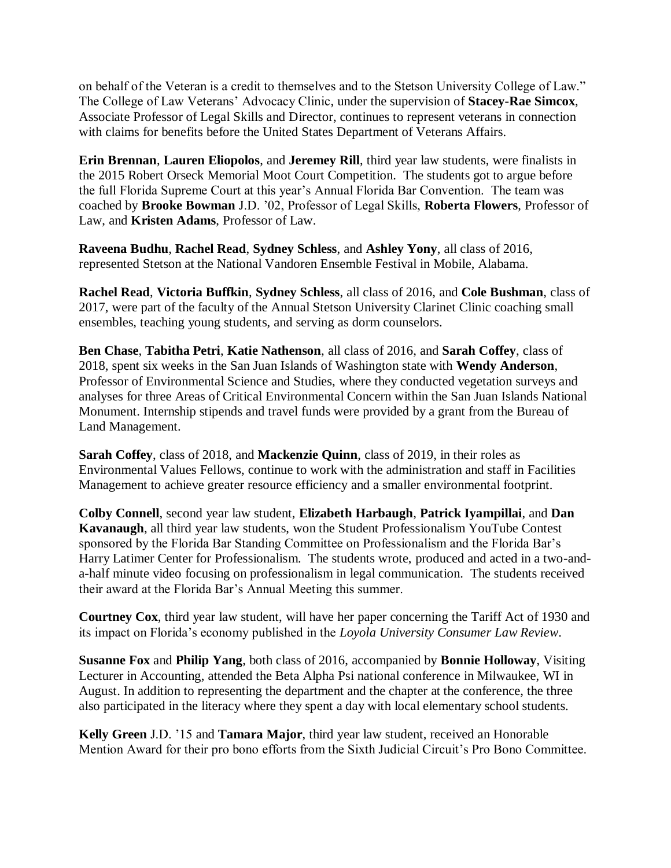on behalf of the Veteran is a credit to themselves and to the Stetson University College of Law." The College of Law Veterans' Advocacy Clinic, under the supervision of **Stacey-Rae Simcox**, Associate Professor of Legal Skills and Director, continues to represent veterans in connection with claims for benefits before the United States Department of Veterans Affairs.

**Erin Brennan**, **Lauren Eliopolos**, and **Jeremey Rill**, third year law students, were finalists in the 2015 Robert Orseck Memorial Moot Court Competition. The students got to argue before the full Florida Supreme Court at this year's Annual Florida Bar Convention. The team was coached by **Brooke Bowman** J.D. '02, Professor of Legal Skills, **Roberta Flowers**, Professor of Law, and **Kristen Adams**, Professor of Law.

**Raveena Budhu**, **Rachel Read**, **Sydney Schless**, and **Ashley Yony**, all class of 2016, represented Stetson at the National Vandoren Ensemble Festival in Mobile, Alabama.

**Rachel Read**, **Victoria Buffkin**, **Sydney Schless**, all class of 2016, and **Cole Bushman**, class of 2017, were part of the faculty of the Annual Stetson University Clarinet Clinic coaching small ensembles, teaching young students, and serving as dorm counselors.

**Ben Chase**, **Tabitha Petri**, **Katie Nathenson**, all class of 2016, and **Sarah Coffey**, class of 2018, spent six weeks in the San Juan Islands of Washington state with **Wendy Anderson**, Professor of Environmental Science and Studies, where they conducted vegetation surveys and analyses for three Areas of Critical Environmental Concern within the San Juan Islands National Monument. Internship stipends and travel funds were provided by a grant from the Bureau of Land Management.

**Sarah Coffey**, class of 2018, and **Mackenzie Quinn**, class of 2019, in their roles as Environmental Values Fellows, continue to work with the administration and staff in Facilities Management to achieve greater resource efficiency and a smaller environmental footprint.

**Colby Connell**, second year law student, **Elizabeth Harbaugh**, **Patrick Iyampillai**, and **Dan Kavanaugh**, all third year law students, won the Student Professionalism YouTube Contest sponsored by the Florida Bar Standing Committee on Professionalism and the Florida Bar's Harry Latimer Center for Professionalism. The students wrote, produced and acted in a two-anda-half minute video focusing on professionalism in legal communication. The students received their award at the Florida Bar's Annual Meeting this summer.

**Courtney Cox**, third year law student, will have her paper concerning the Tariff Act of 1930 and its impact on Florida's economy published in the *Loyola University Consumer Law Review*.

**Susanne Fox** and **Philip Yang**, both class of 2016, accompanied by **Bonnie Holloway**, Visiting Lecturer in Accounting, attended the Beta Alpha Psi national conference in Milwaukee, WI in August. In addition to representing the department and the chapter at the conference, the three also participated in the literacy where they spent a day with local elementary school students.

**Kelly Green** J.D. '15 and **Tamara Major**, third year law student, received an Honorable Mention Award for their pro bono efforts from the Sixth Judicial Circuit's Pro Bono Committee.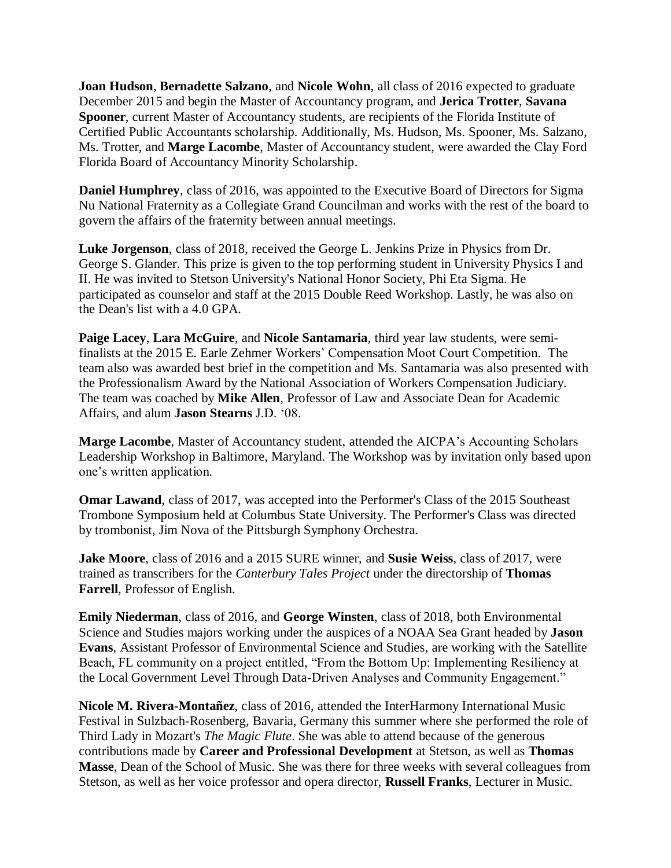**Joan Hudson**, **Bernadette Salzano**, and **Nicole Wohn**, all class of 2016 expected to graduate December 2015 and begin the Master of Accountancy program, and **Jerica Trotter**, **Savana Spooner**, current Master of Accountancy students, are recipients of the Florida Institute of Certified Public Accountants scholarship. Additionally, Ms. Hudson, Ms. Spooner, Ms. Salzano, Ms. Trotter, and **Marge Lacombe**, Master of Accountancy student, were awarded the Clay Ford Florida Board of Accountancy Minority Scholarship.

**Daniel Humphrey**, class of 2016, was appointed to the Executive Board of Directors for Sigma Nu National Fraternity as a Collegiate Grand Councilman and works with the rest of the board to govern the affairs of the fraternity between annual meetings.

**Luke Jorgenson**, class of 2018, received the George L. Jenkins Prize in Physics from Dr. George S. Glander. This prize is given to the top performing student in University Physics I and II. He was invited to Stetson University's National Honor Society, Phi Eta Sigma. He participated as counselor and staff at the 2015 Double Reed Workshop. Lastly, he was also on the Dean's list with a 4.0 GPA.

**Paige Lacey**, **Lara McGuire**, and **Nicole Santamaria**, third year law students, were semifinalists at the 2015 E. Earle Zehmer Workers' Compensation Moot Court Competition. The team also was awarded best brief in the competition and Ms. Santamaria was also presented with the Professionalism Award by the National Association of Workers Compensation Judiciary. The team was coached by **Mike Allen**, Professor of Law and Associate Dean for Academic Affairs, and alum **Jason Stearns** J.D. '08.

**Marge Lacombe**, Master of Accountancy student, attended the AICPA's Accounting Scholars Leadership Workshop in Baltimore, Maryland. The Workshop was by invitation only based upon one's written application.

**Omar Lawand**, class of 2017, was accepted into the Performer's Class of the 2015 Southeast Trombone Symposium held at Columbus State University. The Performer's Class was directed by trombonist, Jim Nova of the Pittsburgh Symphony Orchestra.

**Jake Moore**, class of 2016 and a 2015 SURE winner, and **Susie Weiss**, class of 2017, were trained as transcribers for the *Canterbury Tales Project* under the directorship of **Thomas Farrell**, Professor of English.

**Emily Niederman**, class of 2016, and **George Winsten**, class of 2018, both Environmental Science and Studies majors working under the auspices of a NOAA Sea Grant headed by **Jason Evans**, Assistant Professor of Environmental Science and Studies, are working with the Satellite Beach, FL community on a project entitled, "From the Bottom Up: Implementing Resiliency at the Local Government Level Through Data-Driven Analyses and Community Engagement."

**Nicole M. Rivera-Montañez**, class of 2016, attended the InterHarmony International Music Festival in Sulzbach-Rosenberg, Bavaria, Germany this summer where she performed the role of Third Lady in Mozart's *The Magic Flute*. She was able to attend because of the generous contributions made by **Career and Professional Development** at Stetson, as well as **Thomas Masse**, Dean of the School of Music. She was there for three weeks with several colleagues from Stetson, as well as her voice professor and opera director, **Russell Franks**, Lecturer in Music.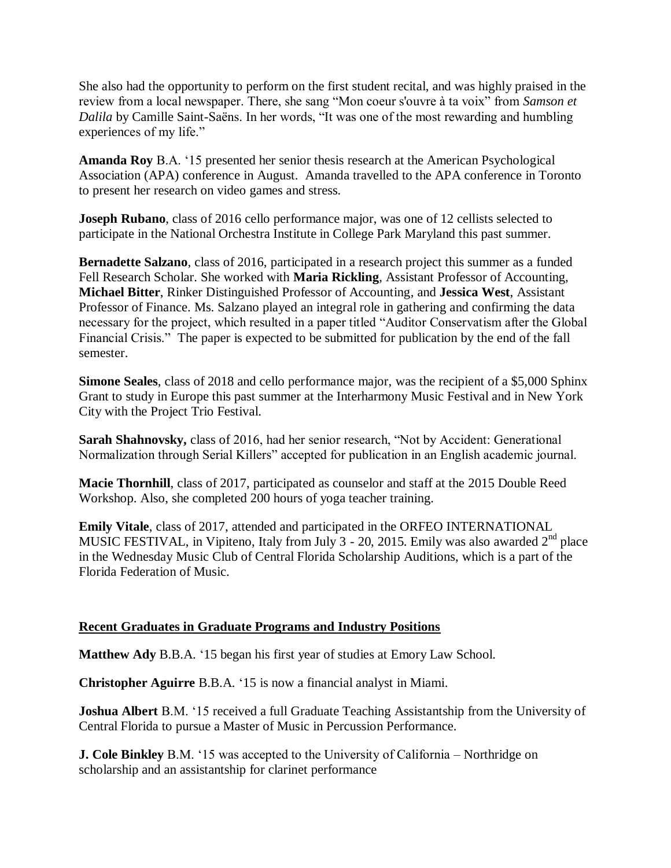She also had the opportunity to perform on the first student recital, and was highly praised in the review from a local newspaper. There, she sang "Mon coeur s'ouvre à ta voix" from *Samson et Dalila* by Camille Saint-Saëns. In her words, "It was one of the most rewarding and humbling experiences of my life."

**Amanda Roy** B.A. '15 presented her senior thesis research at the American Psychological Association (APA) conference in August. Amanda travelled to the APA conference in Toronto to present her research on video games and stress.

**Joseph Rubano**, class of 2016 cello performance major, was one of 12 cellists selected to participate in the National Orchestra Institute in College Park Maryland this past summer.

**Bernadette Salzano**, class of 2016, participated in a research project this summer as a funded Fell Research Scholar. She worked with **Maria Rickling**, Assistant Professor of Accounting, **Michael Bitter**, Rinker Distinguished Professor of Accounting, and **Jessica West**, Assistant Professor of Finance. Ms. Salzano played an integral role in gathering and confirming the data necessary for the project, which resulted in a paper titled "Auditor Conservatism after the Global Financial Crisis." The paper is expected to be submitted for publication by the end of the fall semester.

**Simone Seales**, class of 2018 and cello performance major, was the recipient of a \$5,000 Sphinx Grant to study in Europe this past summer at the Interharmony Music Festival and in New York City with the Project Trio Festival.

**Sarah Shahnovsky,** class of 2016, had her senior research, "Not by Accident: Generational Normalization through Serial Killers" accepted for publication in an English academic journal.

**Macie Thornhill**, class of 2017, participated as counselor and staff at the 2015 Double Reed Workshop. Also, she completed 200 hours of yoga teacher training.

**Emily Vitale**, class of 2017, attended and participated in the ORFEO INTERNATIONAL MUSIC FESTIVAL, in Vipiteno, Italy from July 3 - 20, 2015. Emily was also awarded 2<sup>nd</sup> place in the Wednesday Music Club of Central Florida Scholarship Auditions, which is a part of the Florida Federation of Music.

## **Recent Graduates in Graduate Programs and Industry Positions**

**Matthew Ady** B.B.A. '15 began his first year of studies at Emory Law School.

**Christopher Aguirre** B.B.A. '15 is now a financial analyst in Miami.

**Joshua Albert** B.M. '15 received a full Graduate Teaching Assistantship from the University of Central Florida to pursue a Master of Music in Percussion Performance.

**J. Cole Binkley** B.M. '15 was accepted to the University of California – Northridge on scholarship and an assistantship for clarinet performance